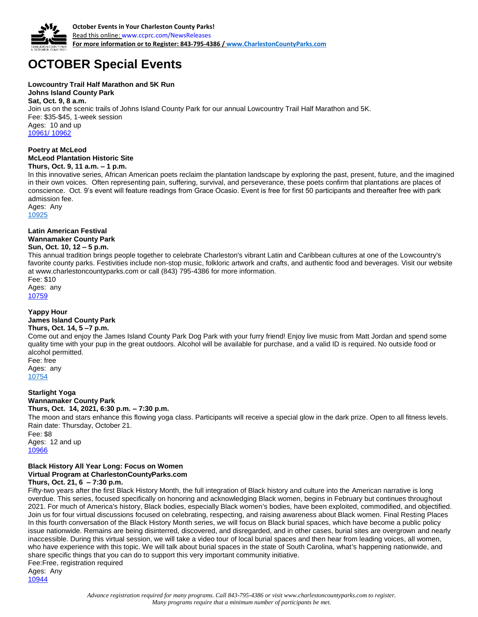

# **OCTOBER Special Events**

#### **Lowcountry Trail Half Marathon and 5K Run**

**Johns Island County Park Sat, Oct. 9, 8 a.m.** Join us on the scenic trails of Johns Island County Park for our annual Lowcountry Trail Half Marathon and 5K. Fee: \$35-\$45, 1-week session Ages: 10 and up [10961/](http://anprod.active.com/charlestoncountyparks/registrationmain.sdi?source=adet.sdi&activity_id=5935) [10962](http://anprod.active.com/charlestoncountyparks/registrationmain.sdi?source=adet.sdi&activity_id=5936)

#### **Poetry at McLeod McLeod Plantation Historic Site Thurs, Oct. 9, 11 a.m. – 1 p.m.**

In this innovative series, African American poets reclaim the plantation landscape by exploring the past, present, future, and the imagined in their own voices. Often representing pain, suffering, survival, and perseverance, these poets confirm that plantations are places of conscience. Oct. 9's event will feature readings from Grace Ocasio. Event is free for first 50 participants and thereafter free with park admission fee.

Ages: Any

[10925](http://anprod.active.com/charlestoncountyparks/registrationmain.sdi?source=adet.sdi&activity_id=5899)

## **Latin American Festival Wannamaker County Park**

**Sun, Oct. 10, 12 – 5 p.m.**

This annual tradition brings people together to celebrate Charleston's vibrant Latin and Caribbean cultures at one of the Lowcountry's favorite county parks. Festivities include non-stop music, folkloric artwork and crafts, and authentic food and beverages. Visit our website at www.charlestoncountyparks.com or call (843) 795-4386 for more information.

Fee: \$10 Ages: any

[10759](http://anprod.active.com/charlestoncountyparks/registrationmain.sdi?source=adet.sdi&activity_id=5733)

## **Yappy Hour**

## **James Island County Park**

#### **Thurs, Oct. 14, 5 –7 p.m.**

Come out and enjoy the James Island County Park Dog Park with your furry friend! Enjoy live music from Matt Jordan and spend some quality time with your pup in the great outdoors. Alcohol will be available for purchase, and a valid ID is required. No outside food or alcohol permitted.

Fee: free Ages: any [10754](http://anprod.active.com/charlestoncountyparks/registrationmain.sdi?source=adet.sdi&activity_id=5728) 

## **Starlight Yoga**

## **Wannamaker County Park**

**Thurs, Oct. 14, 2021, 6:30 p.m. – 7:30 p.m.** The moon and stars enhance this flowing yoga class. Participants will receive a special glow in the dark prize. Open to all fitness levels. Rain date: Thursday, October 21. Fee: \$8

Ages: 12 and up [10966](http://anprod.active.com/charlestoncountyparks/registrationmain.sdi?source=adet.sdi&activity_id=5940)

#### **Black History All Year Long: Focus on Women Virtual Program at CharlestonCountyParks.com Thurs, Oct. 21, 6 – 7:30 p.m.**

Fifty-two years after the first Black History Month, the full integration of Black history and culture into the American narrative is long overdue. This series, focused specifically on honoring and acknowledging Black women, begins in February but continues throughout 2021. For much of America's history, Black bodies, especially Black women's bodies, have been exploited, commodified, and objectified. Join us for four virtual discussions focused on celebrating, respecting, and raising awareness about Black women. Final Resting Places In this fourth conversation of the Black History Month series, we will focus on Black burial spaces, which have become a public policy issue nationwide. Remains are being disinterred, discovered, and disregarded, and in other cases, burial sites are overgrown and nearly inaccessible. During this virtual session, we will take a video tour of local burial spaces and then hear from leading voices, all women, who have experience with this topic. We will talk about burial spaces in the state of South Carolina, what's happening nationwide, and share specific things that you can do to support this very important community initiative. Fee:Free, registration required

Ages: Any [10944](http://anprod.active.com/charlestoncountyparks/registrationmain.sdi?source=adet.sdi&activity_id=5918)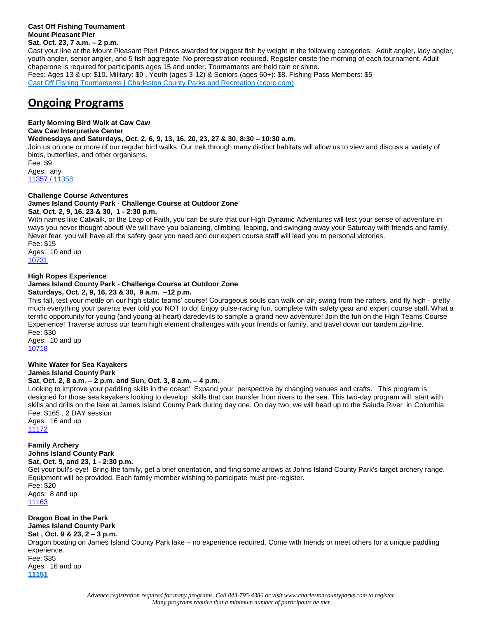#### **Cast Off Fishing Tournament Mount Pleasant Pier Sat, Oct. 23, 7 a.m. – 2 p.m.**

Cast your line at the Mount Pleasant Pier! Prizes awarded for biggest fish by weight in the following categories: Adult angler, lady angler, youth angler, senior angler, and 5 fish aggregate. No preregistration required. Register onsite the morning of each tournament. Adult chaperone is required for participants ages 15 and under. Tournaments are held rain or shine. Fees: Ages 13 & up: \$10. Military: \$9 . Youth (ages 3-12) & Seniors (ages 60+): \$8. Fishing Pass Members: \$5 [Cast Off Fishing Tournaments | Charleston County Parks and Recreation \(ccprc.com\)](https://ccprc.com/2038/Cast-Off-Fishing-Tournaments)

## **Ongoing Programs**

**Early Morning Bird Walk at Caw Caw** 

**Caw Caw Interpretive Center**

**Wednesdays and Saturdays, Oct. 2, 6, 9, 13, 16, 20, 23, 27 & 30, 8:30 – 10:30 a.m.** Join us on one or more of our regular bird walks. Our trek through many distinct habitats will allow us to view and discuss a variety of birds, butterflies, and other organisms.

Fee: \$9 Ages: any [11357](http://anprod.active.com/charlestoncountyparks/registrationmain.sdi?source=adet.sdi&activity_id=6331) [/ 11358](http://anprod.active.com/charlestoncountyparks/registrationmain.sdi?source=adet.sdi&activity_id=6332)

**Challenge Course Adventures James Island County Park** - **Challenge Course at Outdoor Zone Sat, Oct. 2, 9, 16, 23 & 30, 1 - 2:30 p.m.** 

With names like Catwalk, or the Leap of Faith, you can be sure that our High Dynamic Adventures will test your sense of adventure in ways you never thought about! We will have you balancing, climbing, leaping, and swinging away your Saturday with friends and family. Never fear, you will have all the safety gear you need and our expert course staff will lead you to personal victories.

Fee: \$15 Ages: 10 and up [10731](http://anprod.active.com/charlestoncountyparks/registrationmain.sdi?source=adet.sdi&activity_id=5705)

### **High Ropes Experience**

## **James Island County Park** - **Challenge Course at Outdoor Zone**

**Saturdays, Oct. 2, 9, 16, 23 & 30, 9 a.m. –12 p.m.**

This fall, test your mettle on our high static teams' course! Courageous souls can walk on air, swing from the rafters, and fly high - pretty much everything your parents ever told you NOT to do! Enjoy pulse-racing fun, complete with safety gear and expert course staff. What a terrific opportunity for young (and young-at-heart) daredevils to sample a grand new adventure! Join the fun on the High Teams Course Experience! Traverse across our team high element challenges with your friends or family, and travel down our tandem zip-line. Fee: \$30

Ages: 10 and up [10718](http://anprod.active.com/charlestoncountyparks/registrationmain.sdi?source=adet.sdi&activity_id=5692)

#### **White Water for Sea Kayakers James Island County Park**

### **Sat, Oct. 2, 8 a.m. – 2 p.m. and Sun, Oct. 3, 8 a.m. – 4 p.m.**

Looking to improve your paddling skills in the ocean' Expand your perspective by changing venues and crafts. This program is designed for those sea kayakers looking to develop skills that can transfer from rivers to the sea. This two-day program will start with skills and drills on the lake at James Island County Park during day one. On day two, we will head up to the Saluda River in Columbia. Fee: \$165 , 2 DAY session

Ages: 16 and up [11172](http://anprod.active.com/charlestoncountyparks/registrationmain.sdi?source=adet.sdi&activity_id=6146)

**Family Archery Johns Island County Park**

**Sat, Oct. 9, and 23, 1 - 2:30 p.m.**

Get your bull's-eye! Bring the family, get a brief orientation, and fling some arrows at Johns Island County Park's target archery range. Equipment will be provided. Each family member wishing to participate must pre-register. Fee: \$20 Ages: 8 and up [11163](http://anprod.active.com/charlestoncountyparks/registrationmain.sdi?source=adet.sdi&activity_id=6137)

**Dragon Boat in the Park James Island County Park**

**Sat , Oct. 9 & 23, 2 – 3 p.m.**

Dragon boating on James Island County Park lake – no experience required. Come with friends or meet others for a unique paddling experience. Fee: \$35

Ages: 16 and up **[11151](http://anprod.active.com/charlestoncountyparks/registrationmain.sdi?source=adet.sdi&activity_id=6125)**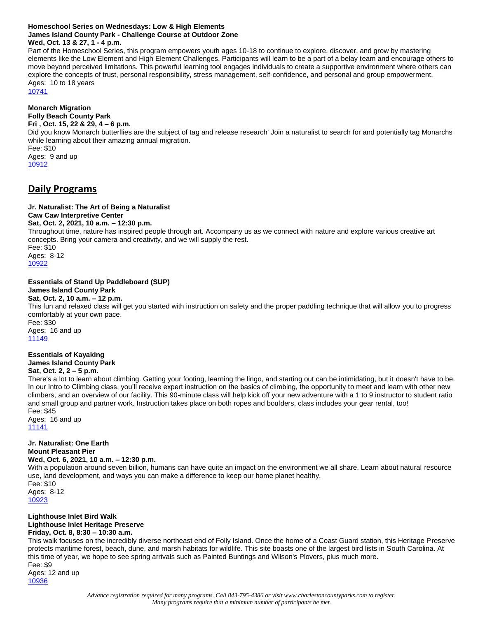#### **Homeschool Series on Wednesdays: Low & High Elements James Island County Park - Challenge Course at Outdoor Zone Wed, Oct. 13 & 27, 1 - 4 p.m.**

Part of the Homeschool Series, this program empowers youth ages 10-18 to continue to explore, discover, and grow by mastering elements like the Low Element and High Element Challenges. Participants will learn to be a part of a belay team and encourage others to move beyond perceived limitations. This powerful learning tool engages individuals to create a supportive environment where others can explore the concepts of trust, personal responsibility, stress management, self-confidence, and personal and group empowerment. Ages: 10 to 18 years

[10741](http://anprod.active.com/charlestoncountyparks/registrationmain.sdi?source=adet.sdi&activity_id=5715)

**Monarch Migration Folly Beach County Park Fri , Oct. 15, 22 & 29, 4 – 6 p.m.** Did you know Monarch butterflies are the subject of tag and release research' Join a naturalist to search for and potentially tag Monarchs while learning about their amazing annual migration.

Fee: \$10 Ages: 9 and up [10912](http://anprod.active.com/charlestoncountyparks/registrationmain.sdi?source=adet.sdi&activity_id=5886)

## **Daily Programs**

## **Jr. Naturalist: The Art of Being a Naturalist**

## **Caw Caw Interpretive Center**

**Sat, Oct. 2, 2021, 10 a.m. – 12:30 p.m.**

Throughout time, nature has inspired people through art. Accompany us as we connect with nature and explore various creative art concepts. Bring your camera and creativity, and we will supply the rest.

Fee: \$10 Ages: 8-12 [10922](http://anprod.active.com/charlestoncountyparks/registrationmain.sdi?source=adet.sdi&activity_id=5896)

#### **Essentials of Stand Up Paddleboard (SUP) James Island County Park**

## **Sat, Oct. 2, 10 a.m. – 12 p.m.**

This fun and relaxed class will get you started with instruction on safety and the proper paddling technique that will allow you to progress comfortably at your own pace. Fee: \$30

Ages: 16 and up [11149](http://anprod.active.com/charlestoncountyparks/registrationmain.sdi?source=adet.sdi&activity_id=6123)

## **Essentials of Kayaking James Island County Park**

### **Sat, Oct. 2, 2 – 5 p.m.**

There's a lot to learn about climbing. Getting your footing, learning the lingo, and starting out can be intimidating, but it doesn't have to be. In our Intro to Climbing class, you'll receive expert instruction on the basics of climbing, the opportunity to meet and learn with other new climbers, and an overview of our facility. This 90-minute class will help kick off your new adventure with a 1 to 9 instructor to student ratio and small group and partner work. Instruction takes place on both ropes and boulders, class includes your gear rental, too! Fee: \$45

Ages: 16 and up [11141](http://anprod.active.com/charlestoncountyparks/registrationmain.sdi?source=adet.sdi&activity_id=6115) 

#### **Jr. Naturalist: One Earth Mount Pleasant Pier**

## **Wed, Oct. 6, 2021, 10 a.m. – 12:30 p.m.**

With a population around seven billion, humans can have quite an impact on the environment we all share. Learn about natural resource use, land development, and ways you can make a difference to keep our home planet healthy.

Fee: \$10 Ages: 8-12 [10923](http://anprod.active.com/charlestoncountyparks/registrationmain.sdi?source=adet.sdi&activity_id=5897)

#### **Lighthouse Inlet Bird Walk Lighthouse Inlet Heritage Preserve Friday, Oct. 8, 8:30 – 10:30 a.m.**

This walk focuses on the incredibly diverse northeast end of Folly Island. Once the home of a Coast Guard station, this Heritage Preserve protects maritime forest, beach, dune, and marsh habitats for wildlife. This site boasts one of the largest bird lists in South Carolina. At this time of year, we hope to see spring arrivals such as Painted Buntings and Wilson's Plovers, plus much more. Fee: \$9

Ages: 12 and up [10936](http://anprod.active.com/charlestoncountyparks/registrationmain.sdi?source=adet.sdi&activity_id=5910)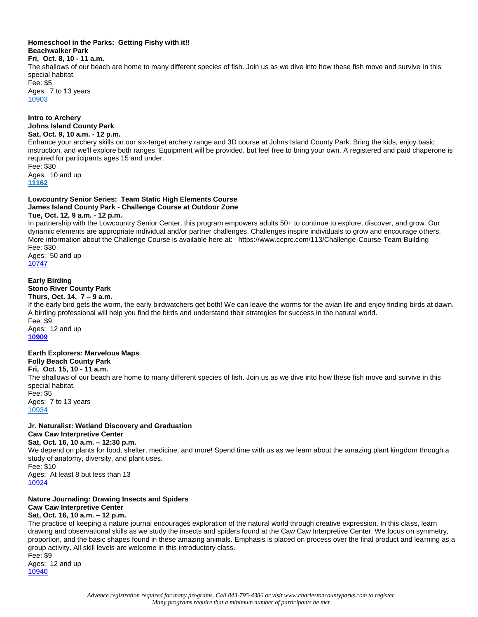## **Homeschool in the Parks: Getting Fishy with it!! Beachwalker Park**

## **Fri, Oct. 8, 10 - 11 a.m.**

The shallows of our beach are home to many different species of fish. Join us as we dive into how these fish move and survive in this special habitat.

Fee: \$5 Ages: 7 to 13 years [10903](http://anprod.active.com/charlestoncountyparks/registrationmain.sdi?source=adet.sdi&activity_id=5877)

#### **Intro to Archery Johns Island County Park Sat, Oct. 9, 10 a.m. - 12 p.m.**

Enhance your archery skills on our six-target archery range and 3D course at Johns Island County Park. Bring the kids, enjoy basic instruction, and we'll explore both ranges. Equipment will be provided, but feel free to bring your own. A registered and paid chaperone is required for participants ages 15 and under.

Fee: \$30 Ages: 10 and up **[11162](http://anprod.active.com/charlestoncountyparks/registrationmain.sdi?source=adet.sdi&activity_id=6136﷟HYPERLINK%20%22http://anprod.active.com/charlestoncountyparks/registrationmain.sdi?source=adet.sdi&activity_id=6136%22)**

## **Lowcountry Senior Series: Team Static High Elements Course James Island County Park - Challenge Course at Outdoor Zone**

#### **Tue, Oct. 12, 9 a.m. - 12 p.m.**

In partnership with the Lowcountry Senior Center, this program empowers adults 50+ to continue to explore, discover, and grow. Our dynamic elements are appropriate individual and/or partner challenges. Challenges inspire individuals to grow and encourage others. More information about the Challenge Course is available here at: https://www.ccprc.com/113/Challenge-Course-Team-Building Fee: \$30

Ages: 50 and up [10747](http://anprod.active.com/charlestoncountyparks/registrationmain.sdi?source=adet.sdi&activity_id=5721)

## **Early Birding Stono River County Park**

## **Thurs, Oct. 14, 7 – 9 a.m.**

If the early bird gets the worm, the early birdwatchers get both! We can leave the worms for the avian life and enjoy finding birds at dawn. A birding professional will help you find the birds and understand their strategies for success in the natural world. Fee: \$9

Ages: 12 and up **[10909](http://anprod.active.com/charlestoncountyparks/registrationmain.sdi?source=adet.sdi&activity_id=5883)**

#### **Earth Explorers: Marvelous Maps Folly Beach County Park**

#### **Fri, Oct. 15, 10 - 11 a.m.**

The shallows of our beach are home to many different species of fish. Join us as we dive into how these fish move and survive in this special habitat.

Fee: \$5 Ages: 7 to 13 years [10934](http://anprod.active.com/charlestoncountyparks/registrationmain.sdi?source=adet.sdi&activity_id=5908)

#### **Jr. Naturalist: Wetland Discovery and Graduation Caw Caw Interpretive Center**

#### **Sat, Oct. 16, 10 a.m. – 12:30 p.m.**

We depend on plants for food, shelter, medicine, and more! Spend time with us as we learn about the amazing plant kingdom through a study of anatomy, diversity, and plant uses. Fee: \$10 Ages: At least 8 but less than 13 [10924](http://anprod.active.com/charlestoncountyparks/registrationmain.sdi?source=adet.sdi&activity_id=5898)

## **Nature Journaling: Drawing Insects and Spiders Caw Caw Interpretive Center**

## **Sat, Oct. 16, 10 a.m. – 12 p.m.**

The practice of keeping a nature journal encourages exploration of the natural world through creative expression. In this class, learn drawing and observational skills as we study the insects and spiders found at the Caw Caw Interpretive Center. We focus on symmetry, proportion, and the basic shapes found in these amazing animals. Emphasis is placed on process over the final product and learning as a group activity. All skill levels are welcome in this introductory class.

Fee: \$9 Ages: 12 and up [10940](http://anprod.active.com/charlestoncountyparks/registrationmain.sdi?source=adet.sdi&activity_id=5914)